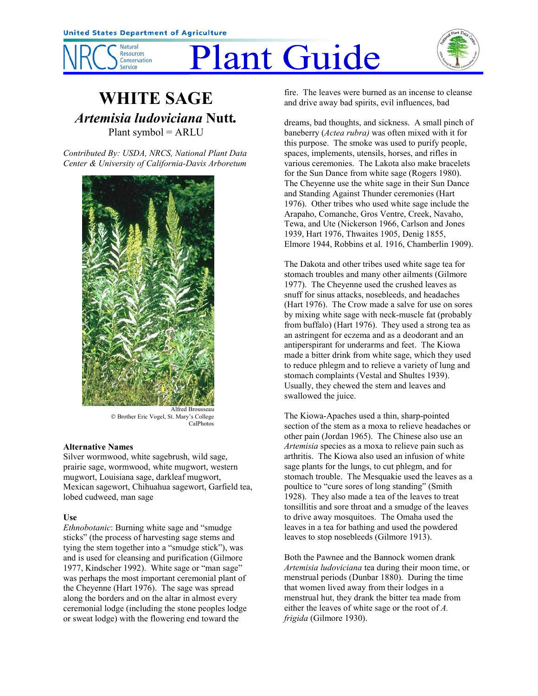

# **Plant Guide**



## **WHITE SAGE** *Artemisia ludoviciana* **Nutt***.* Plant symbol = ARLU

*Contributed By: USDA, NRCS, National Plant Data Center & University of California-Davis Arboretum*



 Brother Eric Vogel, St. Maryís College CalPhotos

#### **Alternative Names**

Silver wormwood, white sagebrush, wild sage, prairie sage, wormwood, white mugwort, western mugwort, Louisiana sage, darkleaf mugwort, Mexican sagewort, Chihuahua sagewort, Garfield tea, lobed cudweed, man sage

#### **Use**

*Ethnobotanic*: Burning white sage and "smudge" sticks" (the process of harvesting sage stems and tying the stem together into a "smudge stick"), was and is used for cleansing and purification (Gilmore 1977, Kindscher 1992). White sage or "man sage" was perhaps the most important ceremonial plant of the Cheyenne (Hart 1976). The sage was spread along the borders and on the altar in almost every ceremonial lodge (including the stone peoples lodge or sweat lodge) with the flowering end toward the

fire. The leaves were burned as an incense to cleanse and drive away bad spirits, evil influences, bad

dreams, bad thoughts, and sickness. A small pinch of baneberry (*Actea rubra)* was often mixed with it for this purpose. The smoke was used to purify people, spaces, implements, utensils, horses, and rifles in various ceremonies. The Lakota also make bracelets for the Sun Dance from white sage (Rogers 1980). The Cheyenne use the white sage in their Sun Dance and Standing Against Thunder ceremonies (Hart 1976). Other tribes who used white sage include the Arapaho, Comanche, Gros Ventre, Creek, Navaho, Tewa, and Ute (Nickerson 1966, Carlson and Jones 1939, Hart 1976, Thwaites 1905, Denig 1855, Elmore 1944, Robbins et al. 1916, Chamberlin 1909).

The Dakota and other tribes used white sage tea for stomach troubles and many other ailments (Gilmore 1977). The Cheyenne used the crushed leaves as snuff for sinus attacks, nosebleeds, and headaches (Hart 1976). The Crow made a salve for use on sores by mixing white sage with neck-muscle fat (probably from buffalo) (Hart 1976). They used a strong tea as an astringent for eczema and as a deodorant and an antiperspirant for underarms and feet. The Kiowa made a bitter drink from white sage, which they used to reduce phlegm and to relieve a variety of lung and stomach complaints (Vestal and Shultes 1939). Usually, they chewed the stem and leaves and swallowed the juice.

The Kiowa-Apaches used a thin, sharp-pointed section of the stem as a moxa to relieve headaches or other pain (Jordan 1965). The Chinese also use an *Artemisia* species as a moxa to relieve pain such as arthritis. The Kiowa also used an infusion of white sage plants for the lungs, to cut phlegm, and for stomach trouble. The Mesquakie used the leaves as a poultice to "cure sores of long standing" (Smith) 1928). They also made a tea of the leaves to treat tonsillitis and sore throat and a smudge of the leaves to drive away mosquitoes. The Omaha used the leaves in a tea for bathing and used the powdered leaves to stop nosebleeds (Gilmore 1913).

Both the Pawnee and the Bannock women drank *Artemisia ludoviciana* tea during their moon time, or menstrual periods (Dunbar 1880). During the time that women lived away from their lodges in a menstrual hut, they drank the bitter tea made from either the leaves of white sage or the root of *A. frigida* (Gilmore 1930).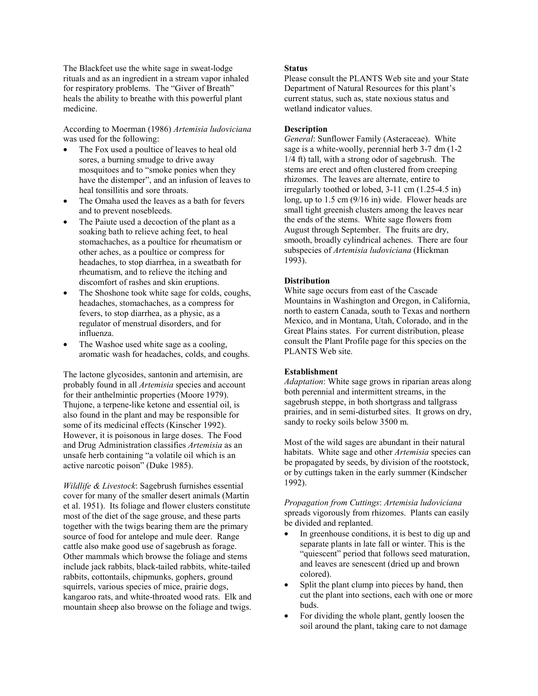The Blackfeet use the white sage in sweat-lodge rituals and as an ingredient in a stream vapor inhaled for respiratory problems. The "Giver of Breath" heals the ability to breathe with this powerful plant medicine.

According to Moerman (1986) *Artemisia ludoviciana* was used for the following:

- The Fox used a poultice of leaves to heal old sores, a burning smudge to drive away mosquitoes and to "smoke ponies when they have the distemper", and an infusion of leaves to heal tonsillitis and sore throats.
- The Omaha used the leaves as a bath for fevers and to prevent nosebleeds.
- The Paiute used a decoction of the plant as a soaking bath to relieve aching feet, to heal stomachaches, as a poultice for rheumatism or other aches, as a poultice or compress for headaches, to stop diarrhea, in a sweatbath for rheumatism, and to relieve the itching and discomfort of rashes and skin eruptions.
- The Shoshone took white sage for colds, coughs, headaches, stomachaches, as a compress for fevers, to stop diarrhea, as a physic, as a regulator of menstrual disorders, and for influenza.
- The Washoe used white sage as a cooling, aromatic wash for headaches, colds, and coughs.

The lactone glycosides, santonin and artemisin, are probably found in all *Artemisia* species and account for their anthelmintic properties (Moore 1979). Thujone, a terpene-like ketone and essential oil, is also found in the plant and may be responsible for some of its medicinal effects (Kinscher 1992). However, it is poisonous in large doses. The Food and Drug Administration classifies *Artemisia* as an unsafe herb containing "a volatile oil which is an active narcotic poison" (Duke 1985).

*Wildlife & Livestock*: Sagebrush furnishes essential cover for many of the smaller desert animals (Martin et al. 1951). Its foliage and flower clusters constitute most of the diet of the sage grouse, and these parts together with the twigs bearing them are the primary source of food for antelope and mule deer. Range cattle also make good use of sagebrush as forage. Other mammals which browse the foliage and stems include jack rabbits, black-tailed rabbits, white-tailed rabbits, cottontails, chipmunks, gophers, ground squirrels, various species of mice, prairie dogs, kangaroo rats, and white-throated wood rats. Elk and mountain sheep also browse on the foliage and twigs.

#### **Status**

Please consult the PLANTS Web site and your State Department of Natural Resources for this plant's current status, such as, state noxious status and wetland indicator values.

#### **Description**

*General*: Sunflower Family (Asteraceae). White sage is a white-woolly, perennial herb 3-7 dm (1-2 1/4 ft) tall, with a strong odor of sagebrush. The stems are erect and often clustered from creeping rhizomes. The leaves are alternate, entire to irregularly toothed or lobed, 3-11 cm (1.25-4.5 in) long, up to 1.5 cm (9/16 in) wide. Flower heads are small tight greenish clusters among the leaves near the ends of the stems. White sage flowers from August through September. The fruits are dry, smooth, broadly cylindrical achenes. There are four subspecies of *Artemisia ludoviciana* (Hickman 1993).

### **Distribution**

White sage occurs from east of the Cascade Mountains in Washington and Oregon, in California, north to eastern Canada, south to Texas and northern Mexico, and in Montana, Utah, Colorado, and in the Great Plains states. For current distribution, please consult the Plant Profile page for this species on the PLANTS Web site.

#### **Establishment**

*Adaptation*: White sage grows in riparian areas along both perennial and intermittent streams, in the sagebrush steppe, in both shortgrass and tallgrass prairies, and in semi-disturbed sites. It grows on dry, sandy to rocky soils below 3500 m.

Most of the wild sages are abundant in their natural habitats. White sage and other *Artemisia* species can be propagated by seeds, by division of the rootstock, or by cuttings taken in the early summer (Kindscher 1992).

*Propagation from Cuttings*: *Artemisia ludoviciana* spreads vigorously from rhizomes. Plants can easily be divided and replanted.

- In greenhouse conditions, it is best to dig up and separate plants in late fall or winter. This is the "quiescent" period that follows seed maturation, and leaves are senescent (dried up and brown colored).
- Split the plant clump into pieces by hand, then cut the plant into sections, each with one or more buds.
- For dividing the whole plant, gently loosen the soil around the plant, taking care to not damage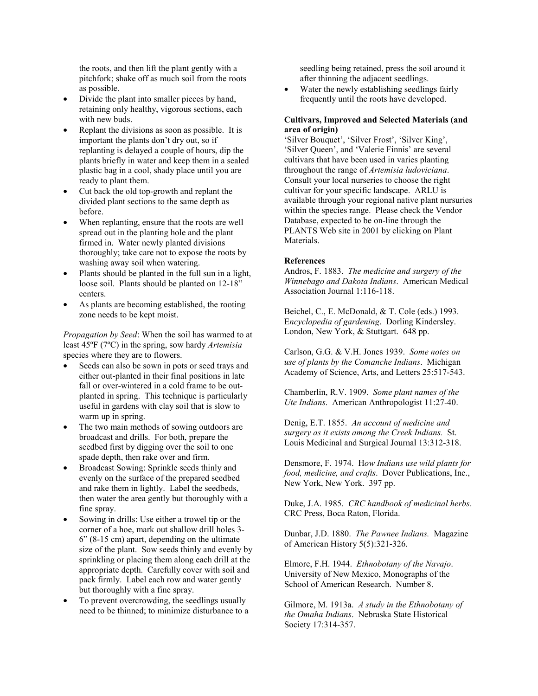the roots, and then lift the plant gently with a pitchfork; shake off as much soil from the roots as possible.

- Divide the plant into smaller pieces by hand, retaining only healthy, vigorous sections, each with new buds.
- Replant the divisions as soon as possible. It is important the plants don't dry out, so if replanting is delayed a couple of hours, dip the plants briefly in water and keep them in a sealed plastic bag in a cool, shady place until you are ready to plant them.
- Cut back the old top-growth and replant the divided plant sections to the same depth as before.
- When replanting, ensure that the roots are well spread out in the planting hole and the plant firmed in. Water newly planted divisions thoroughly; take care not to expose the roots by washing away soil when watering.
- Plants should be planted in the full sun in a light, loose soil. Plants should be planted on 12-18<sup>"</sup> centers.
- As plants are becoming established, the rooting zone needs to be kept moist.

*Propagation by Seed*: When the soil has warmed to at least 45ºF (7ºC) in the spring, sow hardy *Artemisia* species where they are to flowers.

- Seeds can also be sown in pots or seed trays and either out-planted in their final positions in late fall or over-wintered in a cold frame to be outplanted in spring. This technique is particularly useful in gardens with clay soil that is slow to warm up in spring.
- The two main methods of sowing outdoors are broadcast and drills. For both, prepare the seedbed first by digging over the soil to one spade depth, then rake over and firm.
- Broadcast Sowing: Sprinkle seeds thinly and evenly on the surface of the prepared seedbed and rake them in lightly. Label the seedbeds, then water the area gently but thoroughly with a fine spray.
- Sowing in drills: Use either a trowel tip or the corner of a hoe, mark out shallow drill holes 3-  $6$ <sup>o</sup> (8-15 cm) apart, depending on the ultimate size of the plant. Sow seeds thinly and evenly by sprinkling or placing them along each drill at the appropriate depth. Carefully cover with soil and pack firmly. Label each row and water gently but thoroughly with a fine spray.
- To prevent overcrowding, the seedlings usually need to be thinned; to minimize disturbance to a

seedling being retained, press the soil around it after thinning the adjacent seedlings.

Water the newly establishing seedlings fairly frequently until the roots have developed.

#### **Cultivars, Improved and Selected Materials (and area of origin)**

'Silver Bouquet', 'Silver Frost', 'Silver King', 'Silver Queen', and 'Valerie Finnis' are several cultivars that have been used in varies planting throughout the range of *Artemisia ludoviciana*. Consult your local nurseries to choose the right cultivar for your specific landscape. ARLU is available through your regional native plant nursuries within the species range. Please check the Vendor Database, expected to be on-line through the PLANTS Web site in 2001 by clicking on Plant Materials.

#### **References**

Andros, F. 1883. *The medicine and surgery of the Winnebago and Dakota Indians*. American Medical Association Journal 1:116-118.

Beichel, C., E. McDonald, & T. Cole (eds.) 1993. E*ncyclopedia of gardening*. Dorling Kindersley. London, New York, & Stuttgart. 648 pp.

Carlson, G.G. & V.H. Jones 1939. *Some notes on use of plants by the Comanche Indians*. Michigan Academy of Science, Arts, and Letters 25:517-543.

Chamberlin, R.V. 1909. *Some plant names of the Ute Indians*. American Anthropologist 11:27-40.

Denig, E.T. 1855. *An account of medicine and surgery as it exists among the Creek Indians.* St. Louis Medicinal and Surgical Journal 13:312-318.

Densmore, F. 1974. H*ow Indians use wild plants for food, medicine, and crafts*. Dover Publications, Inc., New York, New York. 397 pp.

Duke, J.A. 1985. *CRC handbook of medicinal herbs*. CRC Press, Boca Raton, Florida.

Dunbar, J.D. 1880. *The Pawnee Indians.* Magazine of American History 5(5):321-326.

Elmore, F.H. 1944. *Ethnobotany of the Navajo*. University of New Mexico, Monographs of the School of American Research. Number 8.

Gilmore, M. 1913a. *A study in the Ethnobotany of the Omaha Indians*. Nebraska State Historical Society 17:314-357.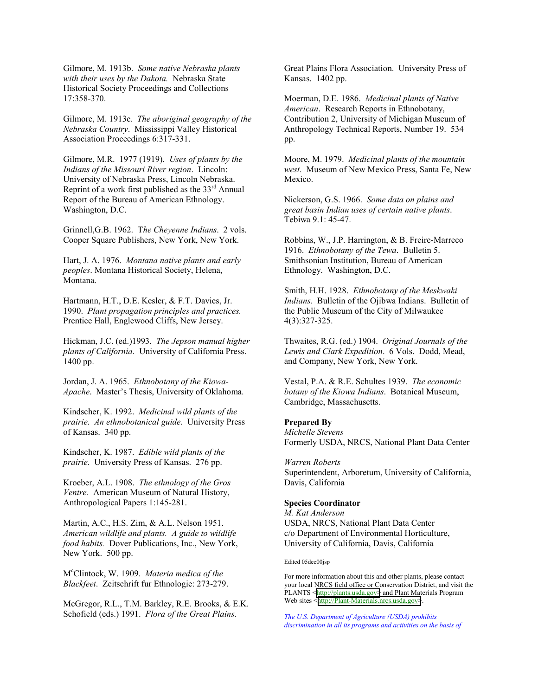Gilmore, M. 1913b. *Some native Nebraska plants with their uses by the Dakota.* Nebraska State Historical Society Proceedings and Collections 17:358-370.

Gilmore, M. 1913c. *The aboriginal geography of the Nebraska Country*. Mississippi Valley Historical Association Proceedings 6:317-331.

Gilmore, M.R. 1977 (1919). *Uses of plants by the Indians of the Missouri River region*. Lincoln: University of Nebraska Press, Lincoln Nebraska. Reprint of a work first published as the 33<sup>rd</sup> Annual Report of the Bureau of American Ethnology. Washington, D.C.

Grinnell,G.B. 1962. T*he Cheyenne Indians*. 2 vols. Cooper Square Publishers, New York, New York.

Hart, J. A. 1976. *Montana native plants and early peoples*. Montana Historical Society, Helena, Montana.

Hartmann, H.T., D.E. Kesler, & F.T. Davies, Jr. 1990. *Plant propagation principles and practices.* Prentice Hall, Englewood Cliffs, New Jersey.

Hickman, J.C. (ed.)1993. *The Jepson manual higher plants of California*. University of California Press. 1400 pp.

Jordan, J. A. 1965. *Ethnobotany of the Kiowa-*Apache. Master's Thesis, University of Oklahoma.

Kindscher, K. 1992. *Medicinal wild plants of the prairie*. *An ethnobotanical guide*. University Press of Kansas. 340 pp.

Kindscher, K. 1987. *Edible wild plants of the prairie*. University Press of Kansas. 276 pp.

Kroeber, A.L. 1908. *The ethnology of the Gros Ventre*. American Museum of Natural History, Anthropological Papers 1:145-281.

Martin, A.C., H.S. Zim, & A.L. Nelson 1951. *American wildlife and plants. A guide to wildlife food habits.* Dover Publications, Inc., New York, New York. 500 pp.

M<sup>c</sup> Clintock, W. 1909. *Materia medica of the Blackfeet*. Zeitschrift fur Ethnologie: 273-279.

McGregor, R.L., T.M. Barkley, R.E. Brooks, & E.K. Schofield (eds.) 1991. *Flora of the Great Plains*.

Great Plains Flora Association. University Press of Kansas. 1402 pp.

Moerman, D.E. 1986. *Medicinal plants of Native American*. Research Reports in Ethnobotany, Contribution 2, University of Michigan Museum of Anthropology Technical Reports, Number 19. 534 pp.

Moore, M. 1979. *Medicinal plants of the mountain west*. Museum of New Mexico Press, Santa Fe, New Mexico.

Nickerson, G.S. 1966. *Some data on plains and great basin Indian uses of certain native plants*. Tebiwa 9.1: 45-47.

Robbins, W., J.P. Harrington, & B. Freire-Marreco 1916. *Ethnobotany of the Tewa*. Bulletin 5. Smithsonian Institution, Bureau of American Ethnology. Washington, D.C.

Smith, H.H. 1928. *Ethnobotany of the Meskwaki Indians*. Bulletin of the Ojibwa Indians. Bulletin of the Public Museum of the City of Milwaukee 4(3):327-325.

Thwaites, R.G. (ed.) 1904. *Original Journals of the Lewis and Clark Expedition*. 6 Vols. Dodd, Mead, and Company, New York, New York.

Vestal, P.A. & R.E. Schultes 1939. *The economic botany of the Kiowa Indians*. Botanical Museum, Cambridge, Massachusetts.

#### **Prepared By**

*Michelle Stevens* Formerly USDA, NRCS, National Plant Data Center

*Warren Roberts* Superintendent, Arboretum, University of California, Davis, California

#### **Species Coordinator**

*M. Kat Anderson* USDA, NRCS, National Plant Data Center c/o Department of Environmental Horticulture, University of California, Davis, California

#### Edited 05dec00jsp

For more information about this and other plants, please contact your local NRCS field office or Conservation District, and visit the PLANTS [<http://plants.usda.gov>](http://plants.usda.gov/) and Plant Materials Program Web sites <[http://Plant-Materials.nrcs.usda.gov>](http://plant-materials.nrcs.usda.gov/).

*The U.S. Department of Agriculture (USDA) prohibits discrimination in all its programs and activities on the basis of*